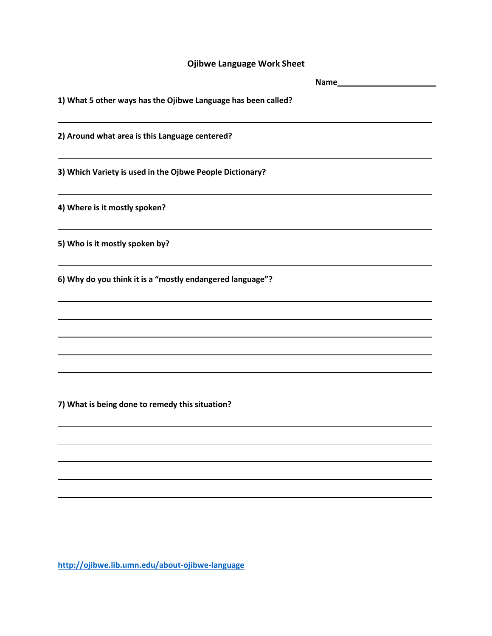## **Ojibwe Language Work Sheet**

| 1) What 5 other ways has the Ojibwe Language has been called? |
|---------------------------------------------------------------|
| 2) Around what area is this Language centered?                |
| 3) Which Variety is used in the Ojbwe People Dictionary?      |
| 4) Where is it mostly spoken?                                 |
| 5) Who is it mostly spoken by?                                |
| 6) Why do you think it is a "mostly endangered language"?     |
|                                                               |
|                                                               |
| 7) What is being done to remedy this situation?               |
|                                                               |

**<http://ojibwe.lib.umn.edu/about-ojibwe-language>**